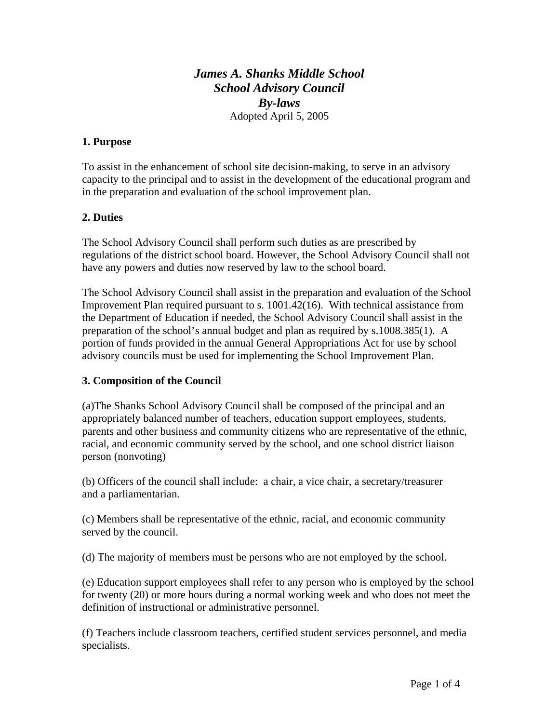# *James A. Shanks Middle School School Advisory Council By-laws*  Adopted April 5, 2005

### **1. Purpose**

To assist in the enhancement of school site decision-making, to serve in an advisory capacity to the principal and to assist in the development of the educational program and in the preparation and evaluation of the school improvement plan.

### **2. Duties**

The School Advisory Council shall perform such duties as are prescribed by regulations of the district school board. However, the School Advisory Council shall not have any powers and duties now reserved by law to the school board.

The School Advisory Council shall assist in the preparation and evaluation of the School Improvement Plan required pursuant to s. 1001.42(16). With technical assistance from the Department of Education if needed, the School Advisory Council shall assist in the preparation of the school's annual budget and plan as required by s.1008.385(1). A portion of funds provided in the annual General Appropriations Act for use by school advisory councils must be used for implementing the School Improvement Plan.

#### **3. Composition of the Council**

(a)The Shanks School Advisory Council shall be composed of the principal and an appropriately balanced number of teachers, education support employees, students, parents and other business and community citizens who are representative of the ethnic, racial, and economic community served by the school, and one school district liaison person (nonvoting)

(b) Officers of the council shall include: a chair, a vice chair, a secretary/treasurer and a parliamentarian.

(c) Members shall be representative of the ethnic, racial, and economic community served by the council.

(d) The majority of members must be persons who are not employed by the school.

(e) Education support employees shall refer to any person who is employed by the school for twenty (20) or more hours during a normal working week and who does not meet the definition of instructional or administrative personnel.

(f) Teachers include classroom teachers, certified student services personnel, and media specialists.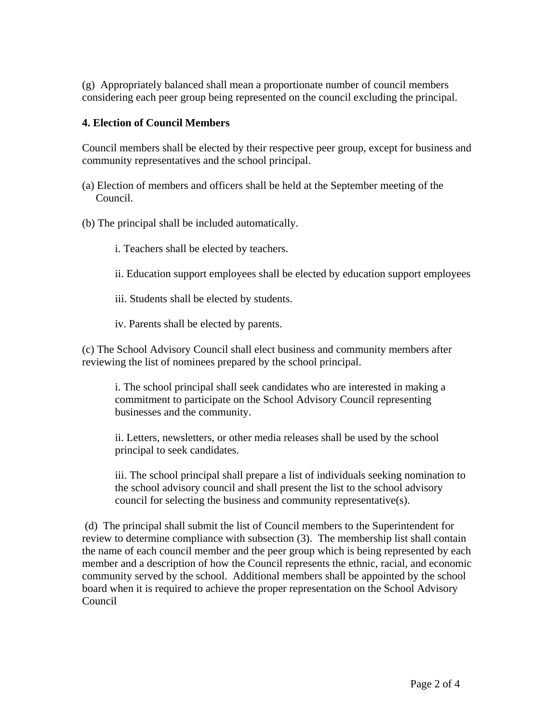(g) Appropriately balanced shall mean a proportionate number of council members considering each peer group being represented on the council excluding the principal.

### **4. Election of Council Members**

Council members shall be elected by their respective peer group, except for business and community representatives and the school principal.

- (a) Election of members and officers shall be held at the September meeting of the Council.
- (b) The principal shall be included automatically.
	- i. Teachers shall be elected by teachers.
	- ii. Education support employees shall be elected by education support employees
	- iii. Students shall be elected by students.
	- iv. Parents shall be elected by parents.

(c) The School Advisory Council shall elect business and community members after reviewing the list of nominees prepared by the school principal.

i. The school principal shall seek candidates who are interested in making a commitment to participate on the School Advisory Council representing businesses and the community.

ii. Letters, newsletters, or other media releases shall be used by the school principal to seek candidates.

iii. The school principal shall prepare a list of individuals seeking nomination to the school advisory council and shall present the list to the school advisory council for selecting the business and community representative(s).

 (d) The principal shall submit the list of Council members to the Superintendent for review to determine compliance with subsection (3). The membership list shall contain the name of each council member and the peer group which is being represented by each member and a description of how the Council represents the ethnic, racial, and economic community served by the school. Additional members shall be appointed by the school board when it is required to achieve the proper representation on the School Advisory Council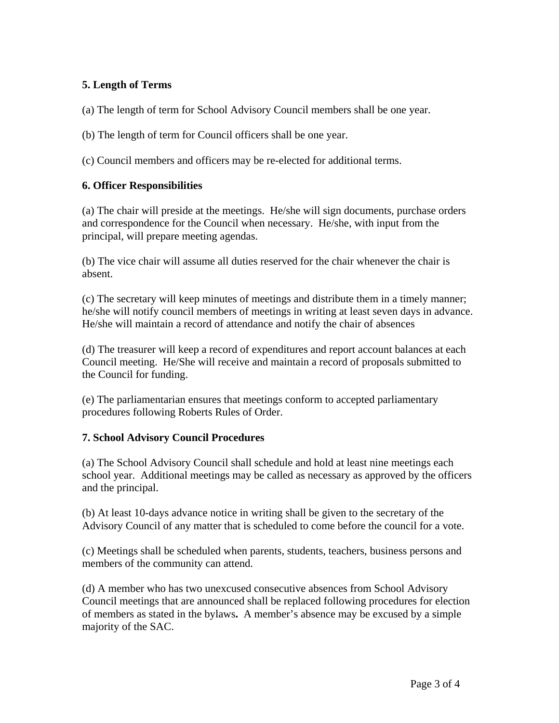# **5. Length of Terms**

(a) The length of term for School Advisory Council members shall be one year.

(b) The length of term for Council officers shall be one year.

(c) Council members and officers may be re-elected for additional terms.

### **6. Officer Responsibilities**

(a) The chair will preside at the meetings. He/she will sign documents, purchase orders and correspondence for the Council when necessary. He/she, with input from the principal, will prepare meeting agendas.

(b) The vice chair will assume all duties reserved for the chair whenever the chair is absent.

(c) The secretary will keep minutes of meetings and distribute them in a timely manner; he/she will notify council members of meetings in writing at least seven days in advance. He/she will maintain a record of attendance and notify the chair of absences

(d) The treasurer will keep a record of expenditures and report account balances at each Council meeting. He/She will receive and maintain a record of proposals submitted to the Council for funding.

(e) The parliamentarian ensures that meetings conform to accepted parliamentary procedures following Roberts Rules of Order.

#### **7. School Advisory Council Procedures**

(a) The School Advisory Council shall schedule and hold at least nine meetings each school year. Additional meetings may be called as necessary as approved by the officers and the principal.

(b) At least 10-days advance notice in writing shall be given to the secretary of the Advisory Council of any matter that is scheduled to come before the council for a vote.

(c) Meetings shall be scheduled when parents, students, teachers, business persons and members of the community can attend.

(d) A member who has two unexcused consecutive absences from School Advisory Council meetings that are announced shall be replaced following procedures for election of members as stated in the bylaws**.** A member's absence may be excused by a simple majority of the SAC.